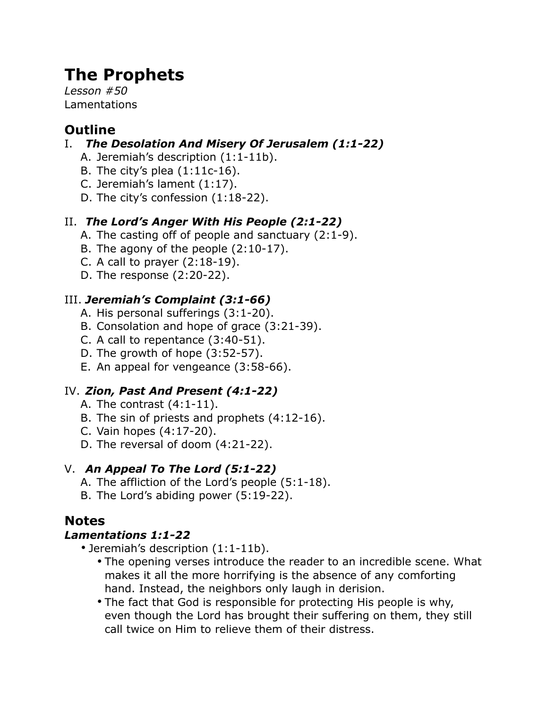# **The Prophets**

*Lesson #50* Lamentations

# **Outline**

### I. *The Desolation And Misery Of Jerusalem (1:1-22)*

- A. Jeremiah's description (1:1-11b).
- B. The city's plea  $(1:11c-16)$ .
- C. Jeremiah's lament (1:17).
- D. The city's confession (1:18-22).

### II. *The Lord's Anger With His People (2:1-22)*

- A. The casting off of people and sanctuary (2:1-9).
- B. The agony of the people (2:10-17).
- C. A call to prayer (2:18-19).
- D. The response (2:20-22).

### III. *Jeremiah's Complaint (3:1-66)*

- A. His personal sufferings (3:1-20).
- B. Consolation and hope of grace (3:21-39).
- C. A call to repentance (3:40-51).
- D. The growth of hope (3:52-57).
- E. An appeal for vengeance (3:58-66).

### IV. *Zion, Past And Present (4:1-22)*

- A. The contrast (4:1-11).
- B. The sin of priests and prophets (4:12-16).
- C. Vain hopes (4:17-20).
- D. The reversal of doom (4:21-22).

### V. *An Appeal To The Lord (5:1-22)*

- A. The affliction of the Lord's people (5:1-18).
- B. The Lord's abiding power (5:19-22).

## **Notes**

### *Lamentations 1:1-22*

- Jeremiah's description (1:1-11b).
	- The opening verses introduce the reader to an incredible scene. What makes it all the more horrifying is the absence of any comforting hand. Instead, the neighbors only laugh in derision.
	- The fact that God is responsible for protecting His people is why, even though the Lord has brought their suffering on them, they still call twice on Him to relieve them of their distress.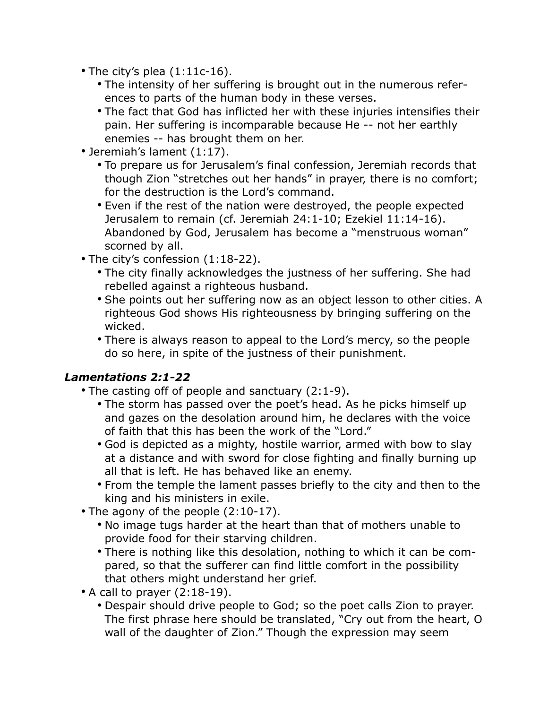- The city's plea (1:11c-16).
	- The intensity of her suffering is brought out in the numerous references to parts of the human body in these verses.
	- The fact that God has inflicted her with these injuries intensifies their pain. Her suffering is incomparable because He -- not her earthly enemies -- has brought them on her.
- Jeremiah's lament (1:17).
	- To prepare us for Jerusalem's final confession, Jeremiah records that though Zion "stretches out her hands" in prayer, there is no comfort; for the destruction is the Lord's command.
	- Even if the rest of the nation were destroyed, the people expected Jerusalem to remain (cf. Jeremiah 24:1-10; Ezekiel 11:14-16). Abandoned by God, Jerusalem has become a "menstruous woman" scorned by all.
- The city's confession (1:18-22).
	- The city finally acknowledges the justness of her suffering. She had rebelled against a righteous husband.
	- She points out her suffering now as an object lesson to other cities. A righteous God shows His righteousness by bringing suffering on the wicked.
	- There is always reason to appeal to the Lord's mercy, so the people do so here, in spite of the justness of their punishment.

#### *Lamentations 2:1-22*

- The casting off of people and sanctuary (2:1-9).
	- The storm has passed over the poet's head. As he picks himself up and gazes on the desolation around him, he declares with the voice of faith that this has been the work of the "Lord."
	- God is depicted as a mighty, hostile warrior, armed with bow to slay at a distance and with sword for close fighting and finally burning up all that is left. He has behaved like an enemy.
	- From the temple the lament passes briefly to the city and then to the king and his ministers in exile.
- The agony of the people (2:10-17).
	- No image tugs harder at the heart than that of mothers unable to provide food for their starving children.
	- There is nothing like this desolation, nothing to which it can be compared, so that the sufferer can find little comfort in the possibility that others might understand her grief.
- A call to prayer (2:18-19).
	- Despair should drive people to God; so the poet calls Zion to prayer. The first phrase here should be translated, "Cry out from the heart, O wall of the daughter of Zion." Though the expression may seem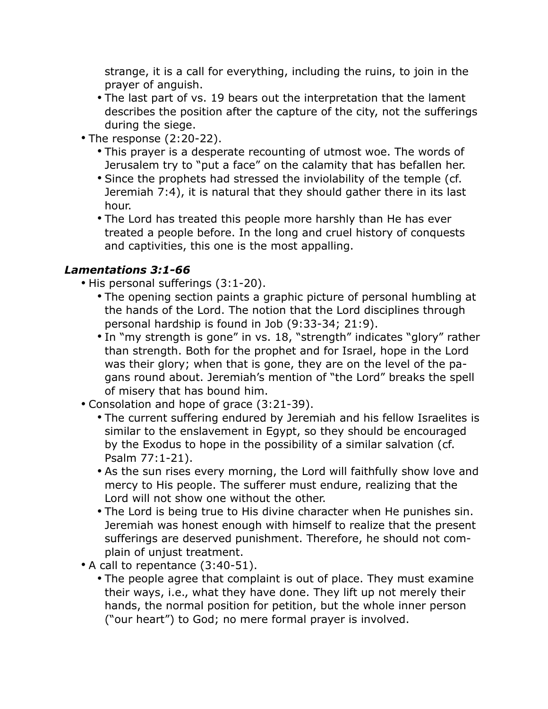strange, it is a call for everything, including the ruins, to join in the prayer of anguish.

- The last part of vs. 19 bears out the interpretation that the lament describes the position after the capture of the city, not the sufferings during the siege.
- The response (2:20-22).
	- This prayer is a desperate recounting of utmost woe. The words of Jerusalem try to "put a face" on the calamity that has befallen her.
	- Since the prophets had stressed the inviolability of the temple (cf. Jeremiah 7:4), it is natural that they should gather there in its last hour.
	- The Lord has treated this people more harshly than He has ever treated a people before. In the long and cruel history of conquests and captivities, this one is the most appalling.

### *Lamentations 3:1-66*

- His personal sufferings (3:1-20).
	- The opening section paints a graphic picture of personal humbling at the hands of the Lord. The notion that the Lord disciplines through personal hardship is found in Job (9:33-34; 21:9).
	- In "my strength is gone" in vs. 18, "strength" indicates "glory" rather than strength. Both for the prophet and for Israel, hope in the Lord was their glory; when that is gone, they are on the level of the pagans round about. Jeremiah's mention of "the Lord" breaks the spell of misery that has bound him.
- Consolation and hope of grace (3:21-39).
	- The current suffering endured by Jeremiah and his fellow Israelites is similar to the enslavement in Egypt, so they should be encouraged by the Exodus to hope in the possibility of a similar salvation (cf. Psalm 77:1-21).
	- As the sun rises every morning, the Lord will faithfully show love and mercy to His people. The sufferer must endure, realizing that the Lord will not show one without the other.
	- The Lord is being true to His divine character when He punishes sin. Jeremiah was honest enough with himself to realize that the present sufferings are deserved punishment. Therefore, he should not complain of unjust treatment.
- A call to repentance (3:40-51).
	- The people agree that complaint is out of place. They must examine their ways, i.e., what they have done. They lift up not merely their hands, the normal position for petition, but the whole inner person ("our heart") to God; no mere formal prayer is involved.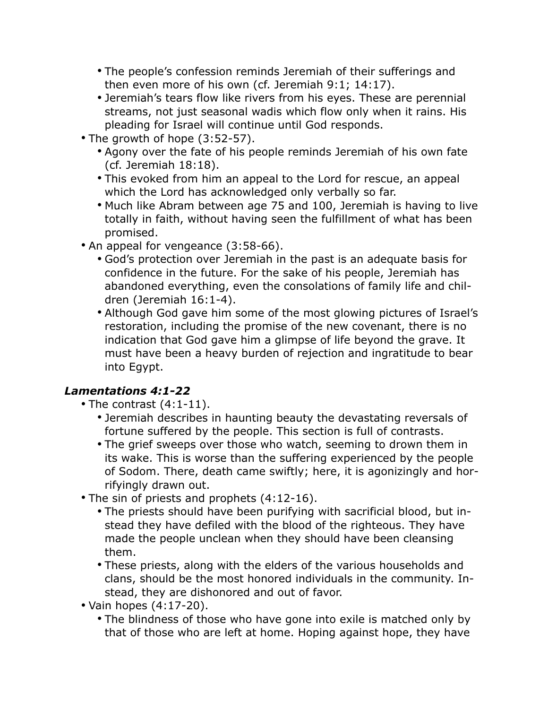- The people's confession reminds Jeremiah of their sufferings and then even more of his own (cf. Jeremiah 9:1; 14:17).
- Jeremiah's tears flow like rivers from his eyes. These are perennial streams, not just seasonal wadis which flow only when it rains. His pleading for Israel will continue until God responds.
- The growth of hope (3:52-57).
	- Agony over the fate of his people reminds Jeremiah of his own fate (cf. Jeremiah 18:18).
	- This evoked from him an appeal to the Lord for rescue, an appeal which the Lord has acknowledged only verbally so far.
	- Much like Abram between age 75 and 100, Jeremiah is having to live totally in faith, without having seen the fulfillment of what has been promised.
- An appeal for vengeance (3:58-66).
	- God's protection over Jeremiah in the past is an adequate basis for confidence in the future. For the sake of his people, Jeremiah has abandoned everything, even the consolations of family life and children (Jeremiah 16:1-4).
	- Although God gave him some of the most glowing pictures of Israel's restoration, including the promise of the new covenant, there is no indication that God gave him a glimpse of life beyond the grave. It must have been a heavy burden of rejection and ingratitude to bear into Egypt.

### *Lamentations 4:1-22*

- The contrast (4:1-11).
	- Jeremiah describes in haunting beauty the devastating reversals of fortune suffered by the people. This section is full of contrasts.
	- The grief sweeps over those who watch, seeming to drown them in its wake. This is worse than the suffering experienced by the people of Sodom. There, death came swiftly; here, it is agonizingly and horrifyingly drawn out.
- The sin of priests and prophets (4:12-16).
	- The priests should have been purifying with sacrificial blood, but instead they have defiled with the blood of the righteous. They have made the people unclean when they should have been cleansing them.
	- These priests, along with the elders of the various households and clans, should be the most honored individuals in the community. Instead, they are dishonored and out of favor.
- Vain hopes (4:17-20).
	- The blindness of those who have gone into exile is matched only by that of those who are left at home. Hoping against hope, they have